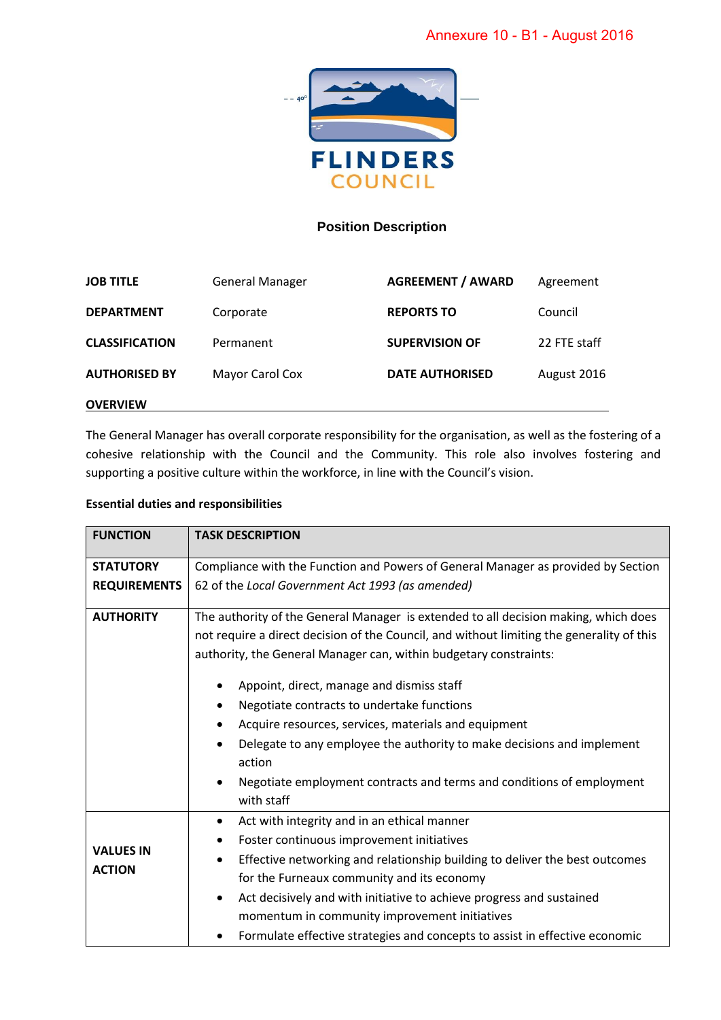

## **Position Description**

| <b>JOB TITLE</b>      | <b>General Manager</b> | <b>AGREEMENT / AWARD</b> | Agreement    |
|-----------------------|------------------------|--------------------------|--------------|
| <b>DEPARTMENT</b>     | Corporate              | <b>REPORTS TO</b>        | Council      |
| <b>CLASSIFICATION</b> | Permanent              | <b>SUPERVISION OF</b>    | 22 FTE staff |
| <b>AUTHORISED BY</b>  | Mayor Carol Cox        | <b>DATE AUTHORISED</b>   | August 2016  |
| <b>OVERVIEW</b>       |                        |                          |              |

The General Manager has overall corporate responsibility for the organisation, as well as the fostering of a cohesive relationship with the Council and the Community. This role also involves fostering and supporting a positive culture within the workforce, in line with the Council's vision.

## **Essential duties and responsibilities**

| <b>FUNCTION</b>                   | <b>TASK DESCRIPTION</b>                                                                   |  |  |
|-----------------------------------|-------------------------------------------------------------------------------------------|--|--|
| <b>STATUTORY</b>                  | Compliance with the Function and Powers of General Manager as provided by Section         |  |  |
| <b>REQUIREMENTS</b>               | 62 of the Local Government Act 1993 (as amended)                                          |  |  |
| <b>AUTHORITY</b>                  | The authority of the General Manager is extended to all decision making, which does       |  |  |
|                                   | not require a direct decision of the Council, and without limiting the generality of this |  |  |
|                                   | authority, the General Manager can, within budgetary constraints:                         |  |  |
|                                   | Appoint, direct, manage and dismiss staff<br>٠                                            |  |  |
|                                   | Negotiate contracts to undertake functions                                                |  |  |
|                                   | Acquire resources, services, materials and equipment<br>$\bullet$                         |  |  |
|                                   | Delegate to any employee the authority to make decisions and implement                    |  |  |
|                                   | action                                                                                    |  |  |
|                                   | Negotiate employment contracts and terms and conditions of employment<br>$\bullet$        |  |  |
|                                   | with staff                                                                                |  |  |
| <b>VALUES IN</b><br><b>ACTION</b> | Act with integrity and in an ethical manner<br>$\bullet$                                  |  |  |
|                                   | Foster continuous improvement initiatives                                                 |  |  |
|                                   | Effective networking and relationship building to deliver the best outcomes               |  |  |
|                                   | for the Furneaux community and its economy                                                |  |  |
|                                   | Act decisively and with initiative to achieve progress and sustained                      |  |  |
|                                   | momentum in community improvement initiatives                                             |  |  |
|                                   | Formulate effective strategies and concepts to assist in effective economic               |  |  |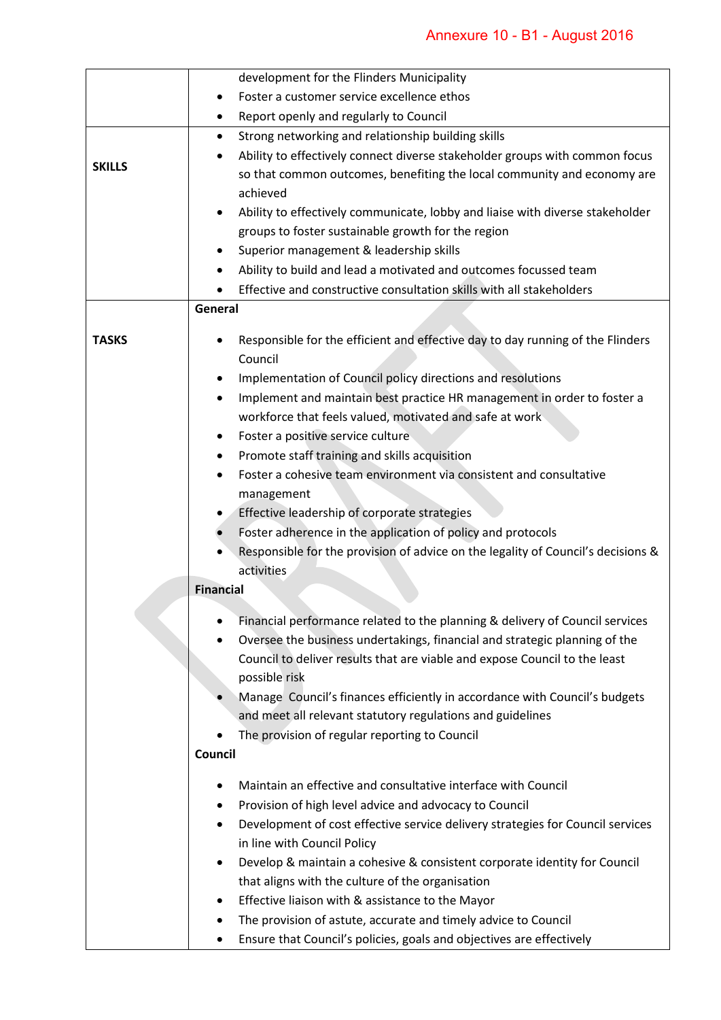|               | development for the Flinders Municipality                                                   |  |
|---------------|---------------------------------------------------------------------------------------------|--|
|               | Foster a customer service excellence ethos<br>$\bullet$                                     |  |
|               | Report openly and regularly to Council<br>٠                                                 |  |
|               | Strong networking and relationship building skills<br>$\bullet$                             |  |
|               | Ability to effectively connect diverse stakeholder groups with common focus                 |  |
| <b>SKILLS</b> | so that common outcomes, benefiting the local community and economy are                     |  |
|               | achieved                                                                                    |  |
|               | Ability to effectively communicate, lobby and liaise with diverse stakeholder               |  |
|               | groups to foster sustainable growth for the region                                          |  |
|               | Superior management & leadership skills                                                     |  |
|               | Ability to build and lead a motivated and outcomes focussed team                            |  |
|               | Effective and constructive consultation skills with all stakeholders                        |  |
|               | General                                                                                     |  |
|               |                                                                                             |  |
| <b>TASKS</b>  | Responsible for the efficient and effective day to day running of the Flinders              |  |
|               | Council                                                                                     |  |
|               | Implementation of Council policy directions and resolutions<br>٠                            |  |
|               | Implement and maintain best practice HR management in order to foster a                     |  |
|               | workforce that feels valued, motivated and safe at work                                     |  |
|               | Foster a positive service culture<br>٠                                                      |  |
|               | Promote staff training and skills acquisition                                               |  |
|               | Foster a cohesive team environment via consistent and consultative                          |  |
|               | management                                                                                  |  |
|               | Effective leadership of corporate strategies                                                |  |
|               | Foster adherence in the application of policy and protocols                                 |  |
|               | Responsible for the provision of advice on the legality of Council's decisions &            |  |
|               | activities                                                                                  |  |
|               | <b>Financial</b>                                                                            |  |
|               | Financial performance related to the planning & delivery of Council services                |  |
|               | Oversee the business undertakings, financial and strategic planning of the                  |  |
|               | Council to deliver results that are viable and expose Council to the least                  |  |
|               | possible risk                                                                               |  |
|               | Manage Council's finances efficiently in accordance with Council's budgets                  |  |
|               | and meet all relevant statutory regulations and guidelines                                  |  |
|               | The provision of regular reporting to Council                                               |  |
|               | Council                                                                                     |  |
|               |                                                                                             |  |
|               | Maintain an effective and consultative interface with Council                               |  |
|               | Provision of high level advice and advocacy to Council<br>٠                                 |  |
|               | Development of cost effective service delivery strategies for Council services<br>$\bullet$ |  |
|               | in line with Council Policy                                                                 |  |
|               | Develop & maintain a cohesive & consistent corporate identity for Council                   |  |
|               | that aligns with the culture of the organisation                                            |  |
|               | Effective liaison with & assistance to the Mayor                                            |  |
|               | The provision of astute, accurate and timely advice to Council                              |  |
|               | Ensure that Council's policies, goals and objectives are effectively<br>٠                   |  |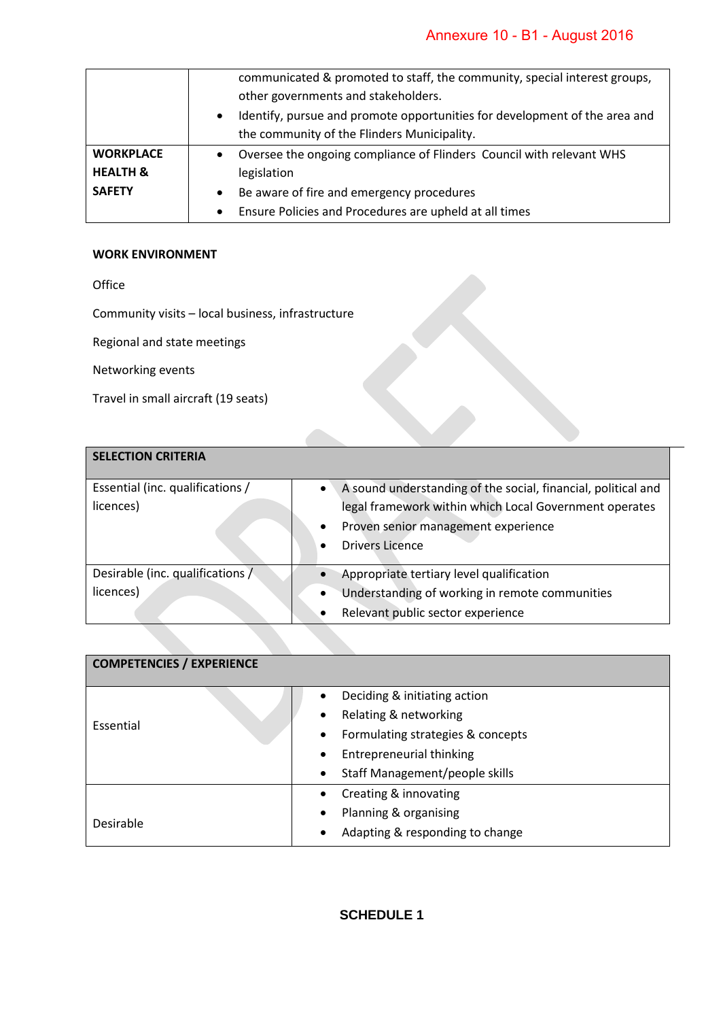|                     | communicated & promoted to staff, the community, special interest groups,               |  |
|---------------------|-----------------------------------------------------------------------------------------|--|
|                     | other governments and stakeholders.                                                     |  |
|                     | Identify, pursue and promote opportunities for development of the area and<br>$\bullet$ |  |
|                     | the community of the Flinders Municipality.                                             |  |
| <b>WORKPLACE</b>    | Oversee the ongoing compliance of Flinders Council with relevant WHS                    |  |
| <b>HEALTH &amp;</b> | legislation                                                                             |  |
| <b>SAFETY</b>       | Be aware of fire and emergency procedures<br>$\bullet$                                  |  |
|                     | Ensure Policies and Procedures are upheld at all times                                  |  |

## **WORK ENVIRONMENT**

Office

Community visits – local business, infrastructure

Regional and state meetings

Networking events

Travel in small aircraft (19 seats)

| <b>SELECTION CRITERIA</b>                     |                                                                                                                                                                                          |
|-----------------------------------------------|------------------------------------------------------------------------------------------------------------------------------------------------------------------------------------------|
| Essential (inc. qualifications /<br>licences) | A sound understanding of the social, financial, political and<br>legal framework within which Local Government operates<br>Proven senior management experience<br><b>Drivers Licence</b> |
| Desirable (inc. qualifications)<br>licences)  | Appropriate tertiary level qualification<br>Understanding of working in remote communities<br>$\bullet$<br>Relevant public sector experience<br>$\bullet$                                |

| <b>COMPETENCIES / EXPERIENCE</b> |                                                |  |  |  |
|----------------------------------|------------------------------------------------|--|--|--|
|                                  | Deciding & initiating action<br>$\bullet$      |  |  |  |
| Essential                        | Relating & networking<br>$\bullet$             |  |  |  |
|                                  | Formulating strategies & concepts<br>$\bullet$ |  |  |  |
|                                  | <b>Entrepreneurial thinking</b><br>$\bullet$   |  |  |  |
|                                  | Staff Management/people skills<br>$\bullet$    |  |  |  |
|                                  | Creating & innovating<br>$\bullet$             |  |  |  |
|                                  | Planning & organising<br>$\bullet$             |  |  |  |
| Desirable                        | Adapting & responding to change<br>$\bullet$   |  |  |  |